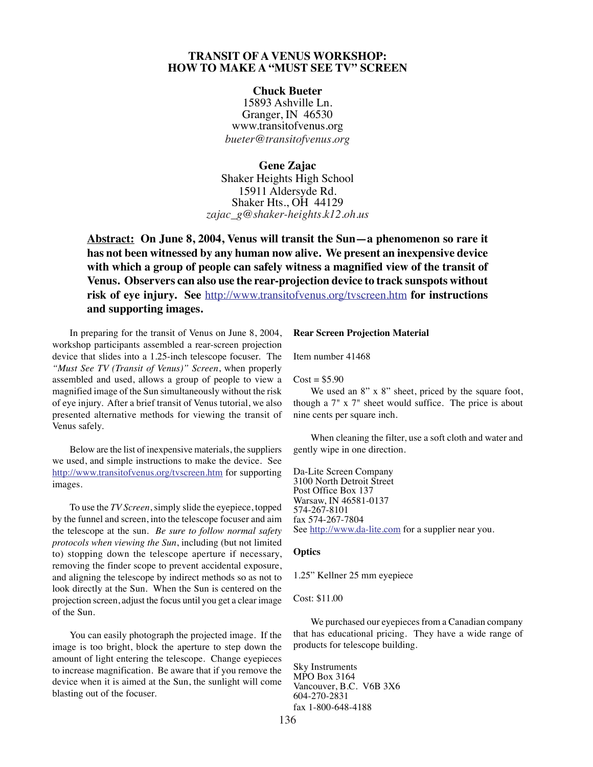# **TRANSIT OF A VENUS WORKSHOP: HOW TO MAKE A "MUST SEE TV" SCREEN**

## **Chuck Bueter**

15893 Ashville Ln. Granger, IN 46530 www.transitofvenus.org *bueter@transitofvenus.org*

**Gene Zajac** Shaker Heights High School 15911 Aldersyde Rd. Shaker Hts., OH 44129 *zajac\_g@shaker-heights.k12.oh.us*

**Abstract: On June 8, 2004, Venus will transit the Sun—a phenomenon so rare it has not been witnessed by any human now alive. We present an inexpensive device with which a group of people can safely witness a magnified view of the transit of Venus. Observers can also use the rear-projection device to track sunspots without risk of eye injury. See** http://www.transitofvenus.org/tvscreen.htm **for instructions and supporting images.**

In preparing for the transit of Venus on June 8, 2004, workshop participants assembled a rear-screen projection device that slides into a 1.25-inch telescope focuser. The *"Must See TV (Transit of Venus)" Screen*, when properly assembled and used, allows a group of people to view a magnified image of the Sun simultaneously without the risk of eye injury. After a brief transit of Venus tutorial, we also presented alternative methods for viewing the transit of Venus safely.

Below are the list of inexpensive materials, the suppliers we used, and simple instructions to make the device. See http://www.transitofvenus.org/tvscreen.htm for supporting images.

To use the *TV Screen*, simply slide the eyepiece, topped by the funnel and screen, into the telescope focuser and aim the telescope at the sun. *Be sure to follow normal safety protocols when viewing the Sun*, including (but not limited to) stopping down the telescope aperture if necessary, removing the finder scope to prevent accidental exposure, and aligning the telescope by indirect methods so as not to look directly at the Sun. When the Sun is centered on the projection screen, adjust the focus until you get a clear image of the Sun.

You can easily photograph the projected image. If the image is too bright, block the aperture to step down the amount of light entering the telescope. Change eyepieces to increase magnification. Be aware that if you remove the device when it is aimed at the Sun, the sunlight will come blasting out of the focuser.

## **Rear Screen Projection Material**

Item number 41468

#### $Cost = $5.90$

We used an 8" x 8" sheet, priced by the square foot, though a 7" x 7" sheet would suffice. The price is about nine cents per square inch.

When cleaning the filter, use a soft cloth and water and gently wipe in one direction.

Da-Lite Screen Company 3100 North Detroit Street Post Office Box 137 Warsaw, IN 46581-0137 574-267-8101 fax 574-267-7804 See http://www.da-lite.com for a supplier near you.

#### **Optics**

1.25" Kellner 25 mm eyepiece

### Cost: \$11.00

We purchased our eyepieces from a Canadian company that has educational pricing. They have a wide range of products for telescope building.

Sky Instruments MPO Box 3164 Vancouver, B.C. V6B 3X6 604-270-2831 fax 1-800-648-4188